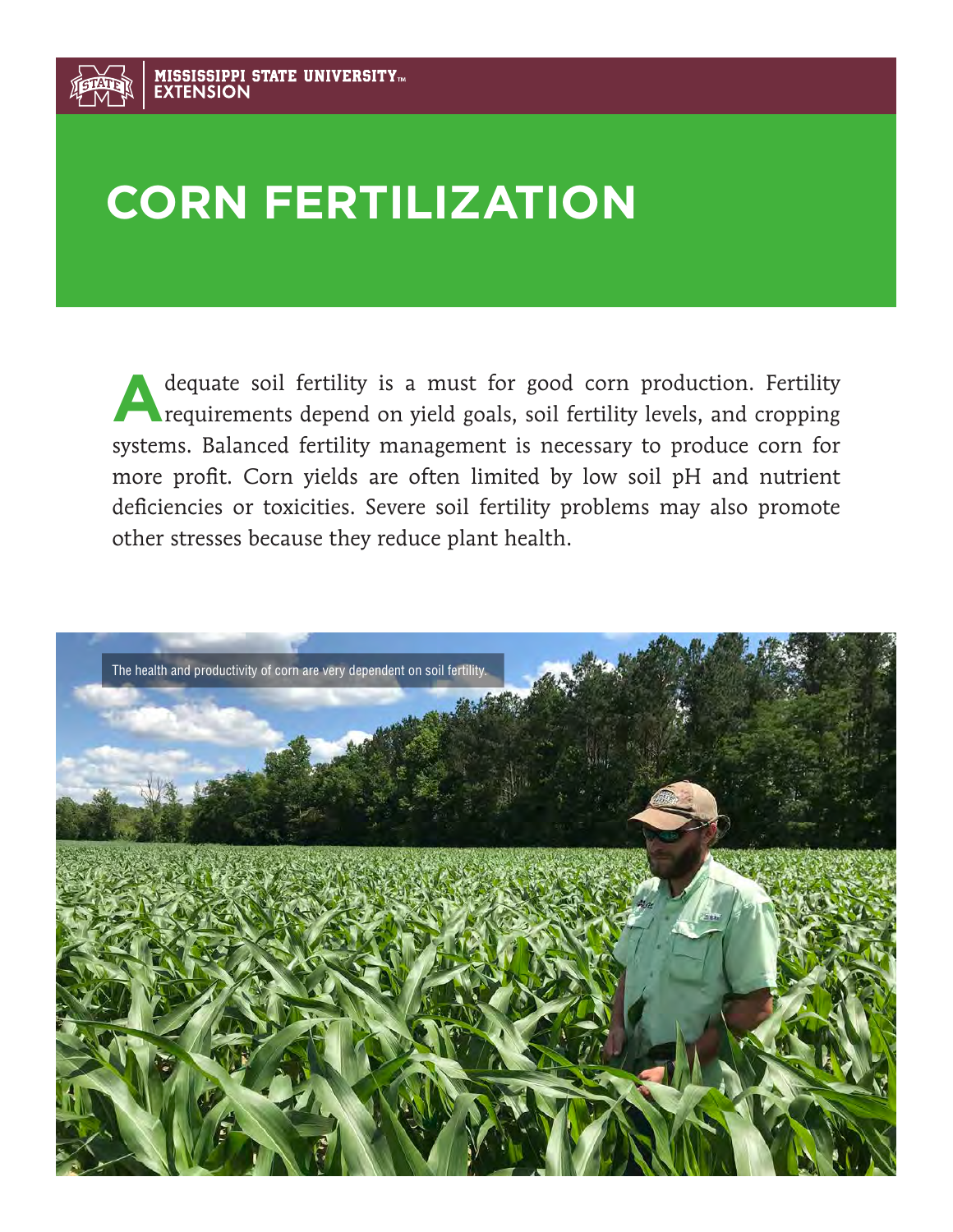# **CORN FERTILIZATION**

Adequate soil fertility is a must for good corn production. Fertility requirements depend on yield goals, soil fertility levels, and cropping systems. Balanced fertility management is necessary to produce corn for more profit. Corn yields are often limited by low soil pH and nutrient deficiencies or toxicities. Severe soil fertility problems may also promote other stresses because they reduce plant health.

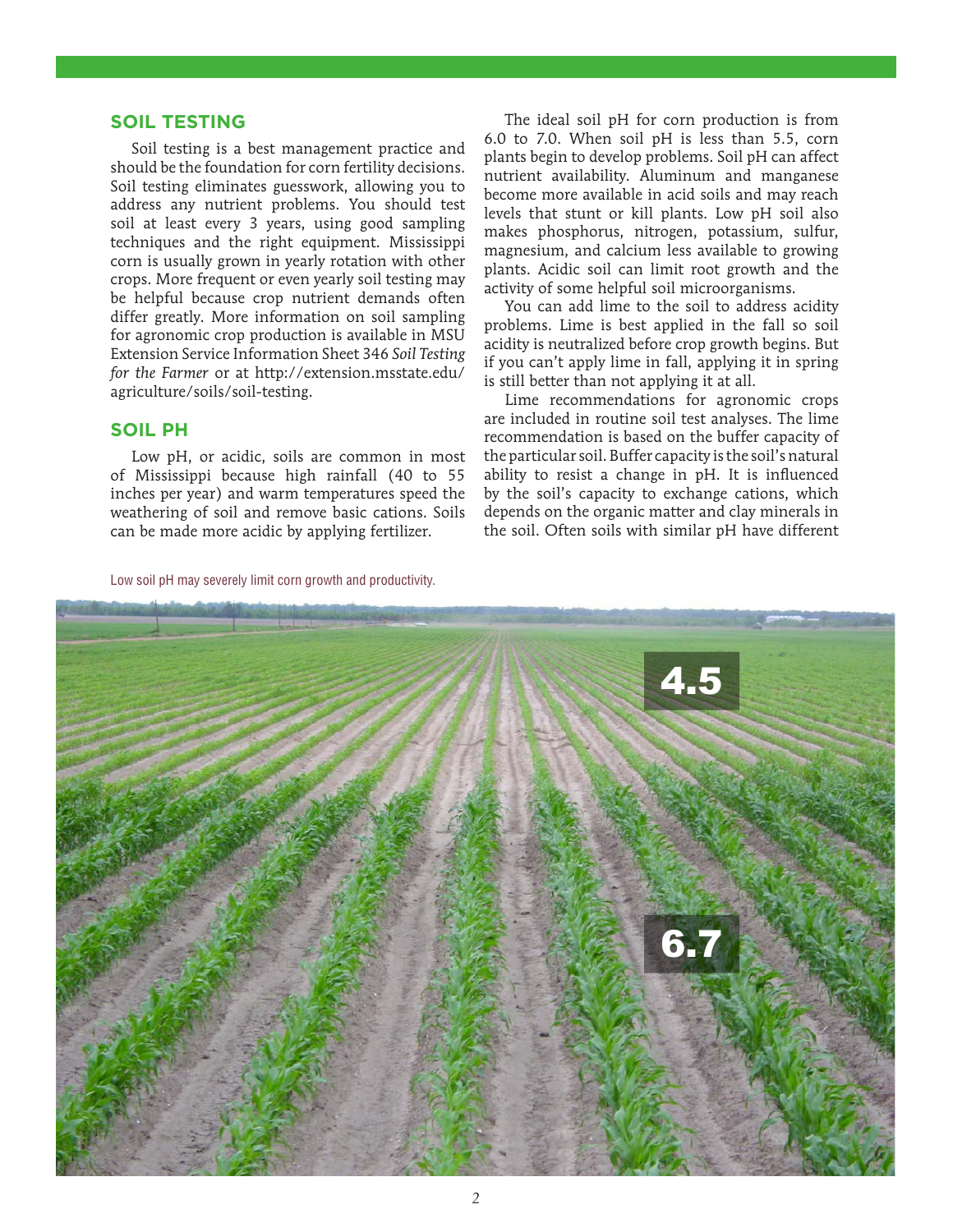## **SOIL TESTING**

Soil testing is a best management practice and should be the foundation for corn fertility decisions. Soil testing eliminates guesswork, allowing you to address any nutrient problems. You should test soil at least every 3 years, using good sampling techniques and the right equipment. Mississippi corn is usually grown in yearly rotation with other crops. More frequent or even yearly soil testing may be helpful because crop nutrient demands often differ greatly. More information on soil sampling for agronomic crop production is available in MSU Extension Service Information Sheet 346 *Soil Testing for the Farmer* or at http://extension.msstate.edu/ agriculture/soils/soil-testing.

#### **SOIL PH**

Low pH, or acidic, soils are common in most of Mississippi because high rainfall (40 to 55 inches per year) and warm temperatures speed the weathering of soil and remove basic cations. Soils can be made more acidic by applying fertilizer.

Low soil pH may severely limit corn growth and productivity.

The ideal soil pH for corn production is from 6.0 to 7.0. When soil pH is less than 5.5, corn plants begin to develop problems. Soil pH can affect nutrient availability. Aluminum and manganese become more available in acid soils and may reach levels that stunt or kill plants. Low pH soil also makes phosphorus, nitrogen, potassium, sulfur, magnesium, and calcium less available to growing plants. Acidic soil can limit root growth and the activity of some helpful soil microorganisms.

You can add lime to the soil to address acidity problems. Lime is best applied in the fall so soil acidity is neutralized before crop growth begins. But if you can't apply lime in fall, applying it in spring is still better than not applying it at all.

Lime recommendations for agronomic crops are included in routine soil test analyses. The lime recommendation is based on the buffer capacity of the particular soil. Buffer capacity is the soil's natural ability to resist a change in pH. It is influenced by the soil's capacity to exchange cations, which depends on the organic matter and clay minerals in the soil. Often soils with similar pH have different

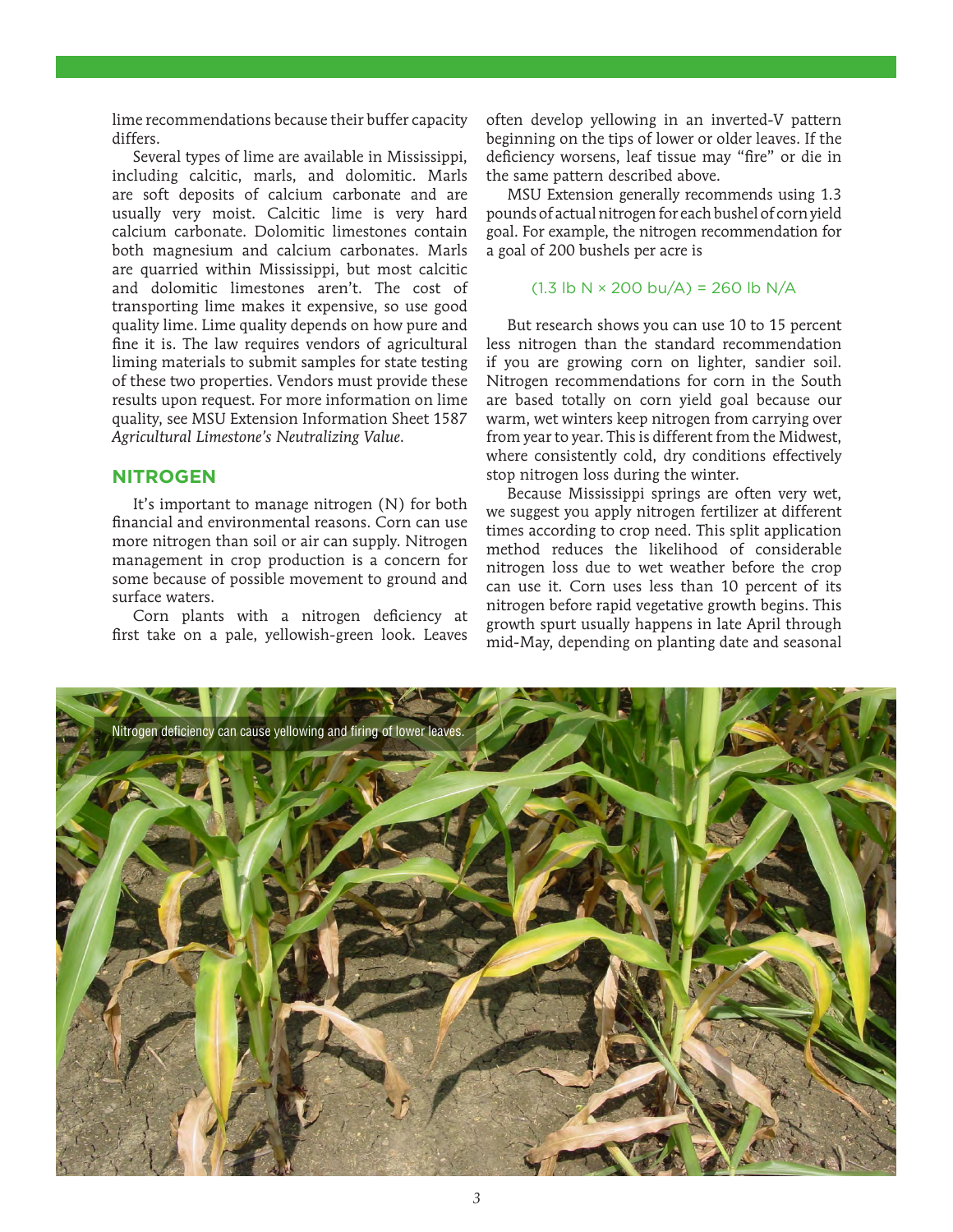lime recommendations because their buffer capacity differs.

Several types of lime are available in Mississippi, including calcitic, marls, and dolomitic. Marls are soft deposits of calcium carbonate and are usually very moist. Calcitic lime is very hard calcium carbonate. Dolomitic limestones contain both magnesium and calcium carbonates. Marls are quarried within Mississippi, but most calcitic and dolomitic limestones aren't. The cost of transporting lime makes it expensive, so use good quality lime. Lime quality depends on how pure and fine it is. The law requires vendors of agricultural liming materials to submit samples for state testing of these two properties. Vendors must provide these results upon request. For more information on lime quality, see MSU Extension Information Sheet 1587 *Agricultural Limestone's Neutralizing Value*.

## **NITROGEN**

It's important to manage nitrogen (N) for both financial and environmental reasons. Corn can use more nitrogen than soil or air can supply. Nitrogen management in crop production is a concern for some because of possible movement to ground and surface waters.

Corn plants with a nitrogen deficiency at first take on a pale, yellowish-green look. Leaves often develop yellowing in an inverted-V pattern beginning on the tips of lower or older leaves. If the deficiency worsens, leaf tissue may "fire" or die in the same pattern described above.

MSU Extension generally recommends using 1.3 pounds of actual nitrogen for each bushel of corn yield goal. For example, the nitrogen recommendation for a goal of 200 bushels per acre is

#### $(1.3$  lb N  $\times$  200 bu/A) = 260 lb N/A

But research shows you can use 10 to 15 percent less nitrogen than the standard recommendation if you are growing corn on lighter, sandier soil. Nitrogen recommendations for corn in the South are based totally on corn yield goal because our warm, wet winters keep nitrogen from carrying over from year to year. This is different from the Midwest, where consistently cold, dry conditions effectively stop nitrogen loss during the winter.

Because Mississippi springs are often very wet, we suggest you apply nitrogen fertilizer at different times according to crop need. This split application method reduces the likelihood of considerable nitrogen loss due to wet weather before the crop can use it. Corn uses less than 10 percent of its nitrogen before rapid vegetative growth begins. This growth spurt usually happens in late April through mid-May, depending on planting date and seasonal

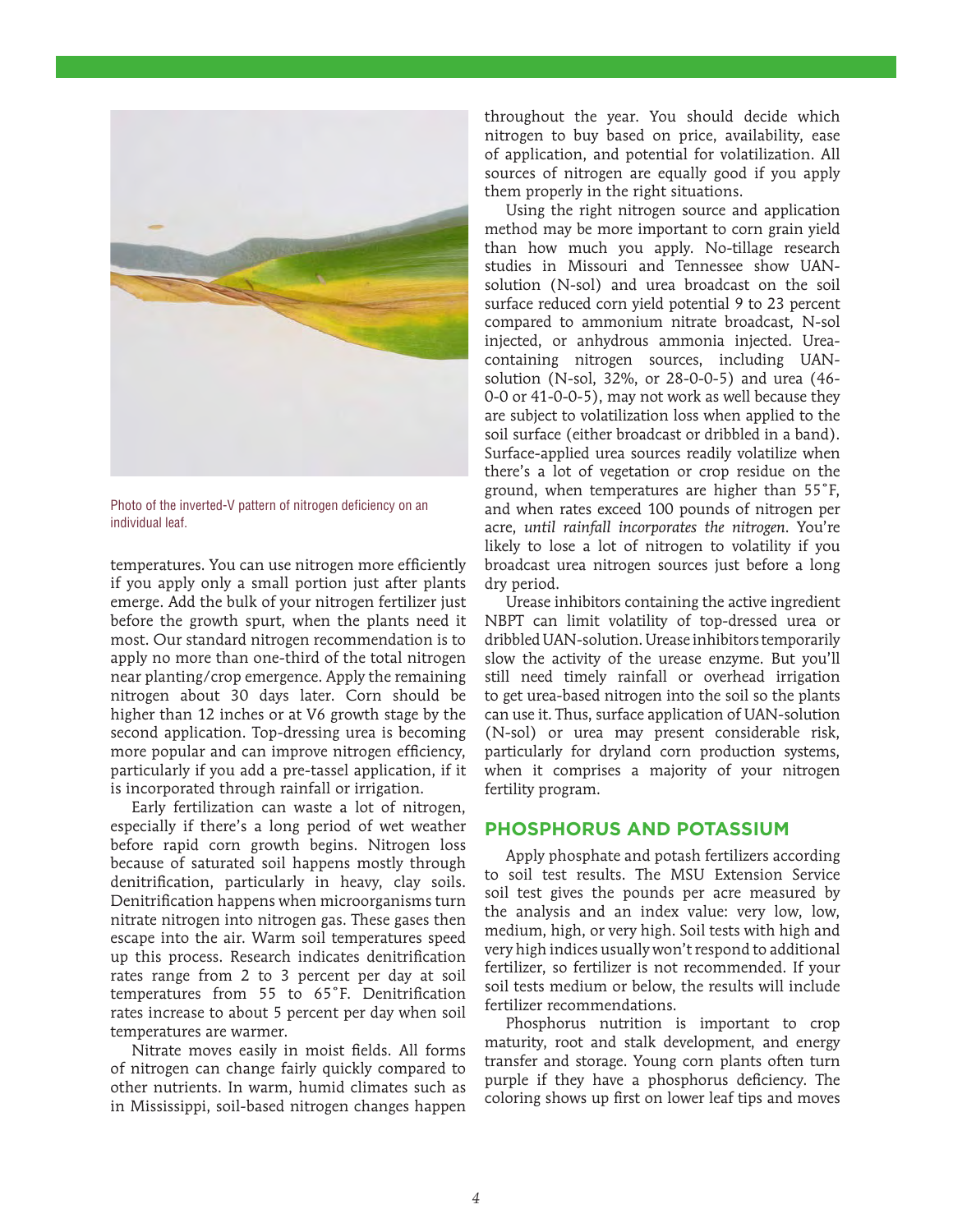

Photo of the inverted-V pattern of nitrogen deficiency on an individual leaf.

temperatures. You can use nitrogen more efficiently if you apply only a small portion just after plants emerge. Add the bulk of your nitrogen fertilizer just before the growth spurt, when the plants need it most. Our standard nitrogen recommendation is to apply no more than one-third of the total nitrogen near planting/crop emergence. Apply the remaining nitrogen about 30 days later. Corn should be higher than 12 inches or at V6 growth stage by the second application. Top-dressing urea is becoming more popular and can improve nitrogen efficiency, particularly if you add a pre-tassel application, if it is incorporated through rainfall or irrigation.

Early fertilization can waste a lot of nitrogen, especially if there's a long period of wet weather before rapid corn growth begins. Nitrogen loss because of saturated soil happens mostly through denitrification, particularly in heavy, clay soils. Denitrification happens when microorganisms turn nitrate nitrogen into nitrogen gas. These gases then escape into the air. Warm soil temperatures speed up this process. Research indicates denitrification rates range from 2 to 3 percent per day at soil temperatures from 55 to 65˚F. Denitrification rates increase to about 5 percent per day when soil temperatures are warmer.

Nitrate moves easily in moist fields. All forms of nitrogen can change fairly quickly compared to other nutrients. In warm, humid climates such as in Mississippi, soil-based nitrogen changes happen throughout the year. You should decide which nitrogen to buy based on price, availability, ease of application, and potential for volatilization. All sources of nitrogen are equally good if you apply them properly in the right situations.

Using the right nitrogen source and application method may be more important to corn grain yield than how much you apply. No-tillage research studies in Missouri and Tennessee show UANsolution (N-sol) and urea broadcast on the soil surface reduced corn yield potential 9 to 23 percent compared to ammonium nitrate broadcast, N-sol injected, or anhydrous ammonia injected. Ureacontaining nitrogen sources, including UANsolution (N-sol, 32%, or 28-0-0-5) and urea (46- 0-0 or 41-0-0-5), may not work as well because they are subject to volatilization loss when applied to the soil surface (either broadcast or dribbled in a band). Surface-applied urea sources readily volatilize when there's a lot of vegetation or crop residue on the ground, when temperatures are higher than 55˚F, and when rates exceed 100 pounds of nitrogen per acre, *until rainfall incorporates the nitrogen*. You're likely to lose a lot of nitrogen to volatility if you broadcast urea nitrogen sources just before a long dry period.

Urease inhibitors containing the active ingredient NBPT can limit volatility of top-dressed urea or dribbled UAN-solution. Urease inhibitors temporarily slow the activity of the urease enzyme. But you'll still need timely rainfall or overhead irrigation to get urea-based nitrogen into the soil so the plants can use it. Thus, surface application of UAN-solution (N-sol) or urea may present considerable risk, particularly for dryland corn production systems, when it comprises a majority of your nitrogen fertility program.

## **PHOSPHORUS AND POTASSIUM**

Apply phosphate and potash fertilizers according to soil test results. The MSU Extension Service soil test gives the pounds per acre measured by the analysis and an index value: very low, low, medium, high, or very high. Soil tests with high and very high indices usually won't respond to additional fertilizer, so fertilizer is not recommended. If your soil tests medium or below, the results will include fertilizer recommendations.

Phosphorus nutrition is important to crop maturity, root and stalk development, and energy transfer and storage. Young corn plants often turn purple if they have a phosphorus deficiency. The coloring shows up first on lower leaf tips and moves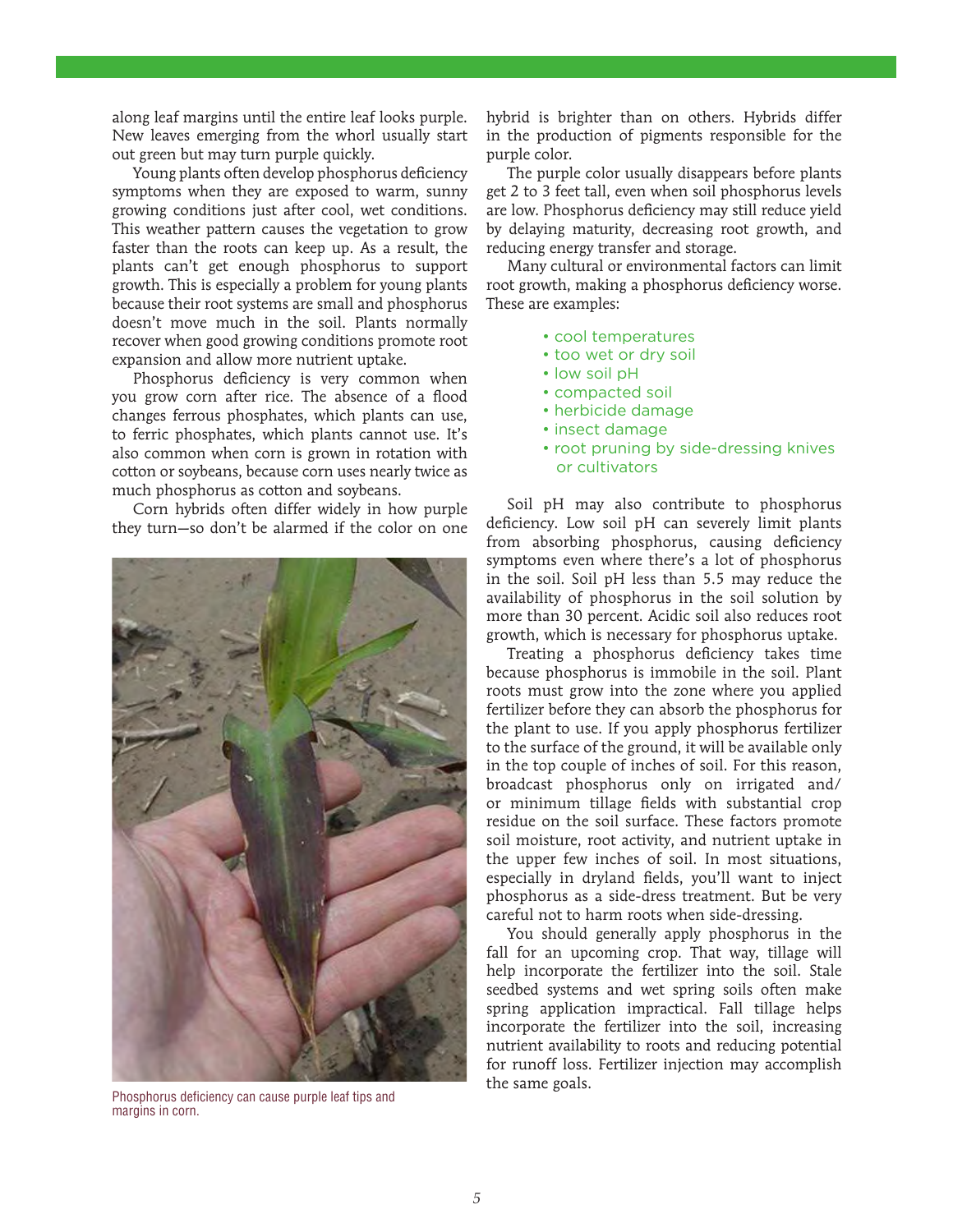along leaf margins until the entire leaf looks purple. New leaves emerging from the whorl usually start out green but may turn purple quickly.

Young plants often develop phosphorus deficiency symptoms when they are exposed to warm, sunny growing conditions just after cool, wet conditions. This weather pattern causes the vegetation to grow faster than the roots can keep up. As a result, the plants can't get enough phosphorus to support growth. This is especially a problem for young plants because their root systems are small and phosphorus doesn't move much in the soil. Plants normally recover when good growing conditions promote root expansion and allow more nutrient uptake.

Phosphorus deficiency is very common when you grow corn after rice. The absence of a flood changes ferrous phosphates, which plants can use, to ferric phosphates, which plants cannot use. It's also common when corn is grown in rotation with cotton or soybeans, because corn uses nearly twice as much phosphorus as cotton and soybeans.

Corn hybrids often differ widely in how purple they turn—so don't be alarmed if the color on one



margins in corn.

hybrid is brighter than on others. Hybrids differ in the production of pigments responsible for the purple color.

The purple color usually disappears before plants get 2 to 3 feet tall, even when soil phosphorus levels are low. Phosphorus deficiency may still reduce yield by delaying maturity, decreasing root growth, and reducing energy transfer and storage.

Many cultural or environmental factors can limit root growth, making a phosphorus deficiency worse. These are examples:

- cool temperatures
- too wet or dry soil
- low soil pH
- compacted soil
- herbicide damage
- insect damage
- root pruning by side-dressing knives or cultivators

Soil pH may also contribute to phosphorus deficiency. Low soil pH can severely limit plants from absorbing phosphorus, causing deficiency symptoms even where there's a lot of phosphorus in the soil. Soil pH less than 5.5 may reduce the availability of phosphorus in the soil solution by more than 30 percent. Acidic soil also reduces root growth, which is necessary for phosphorus uptake.

Treating a phosphorus deficiency takes time because phosphorus is immobile in the soil. Plant roots must grow into the zone where you applied fertilizer before they can absorb the phosphorus for the plant to use. If you apply phosphorus fertilizer to the surface of the ground, it will be available only in the top couple of inches of soil. For this reason, broadcast phosphorus only on irrigated and/ or minimum tillage fields with substantial crop residue on the soil surface. These factors promote soil moisture, root activity, and nutrient uptake in the upper few inches of soil. In most situations, especially in dryland fields, you'll want to inject phosphorus as a side-dress treatment. But be very careful not to harm roots when side-dressing.

You should generally apply phosphorus in the fall for an upcoming crop. That way, tillage will help incorporate the fertilizer into the soil. Stale seedbed systems and wet spring soils often make spring application impractical. Fall tillage helps incorporate the fertilizer into the soil, increasing nutrient availability to roots and reducing potential for runoff loss. Fertilizer injection may accomplish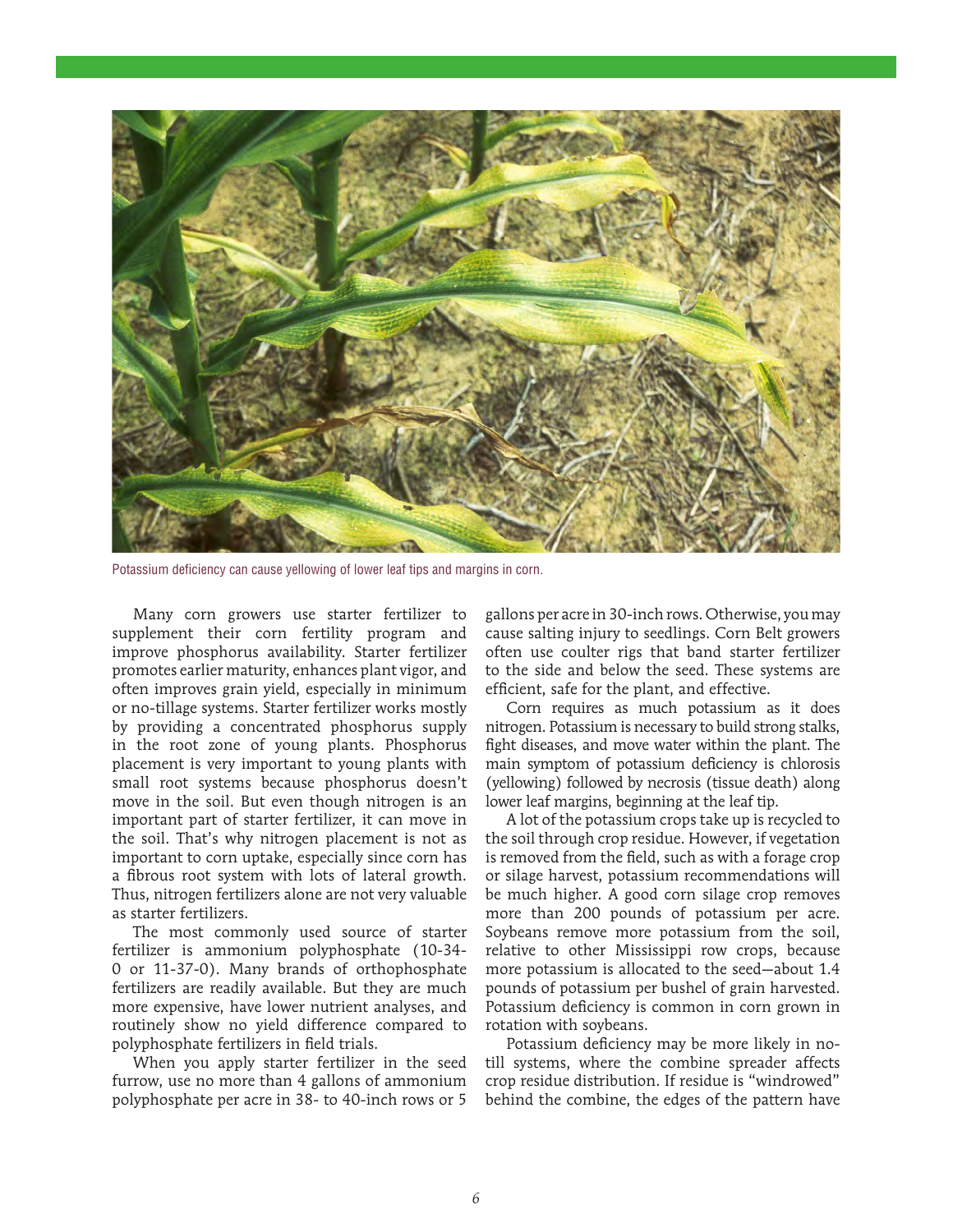

Potassium deficiency can cause yellowing of lower leaf tips and margins in corn.

Many corn growers use starter fertilizer to supplement their corn fertility program and improve phosphorus availability. Starter fertilizer promotes earlier maturity, enhances plant vigor, and often improves grain yield, especially in minimum or no-tillage systems. Starter fertilizer works mostly by providing a concentrated phosphorus supply in the root zone of young plants. Phosphorus placement is very important to young plants with small root systems because phosphorus doesn't move in the soil. But even though nitrogen is an important part of starter fertilizer, it can move in the soil. That's why nitrogen placement is not as important to corn uptake, especially since corn has a fibrous root system with lots of lateral growth. Thus, nitrogen fertilizers alone are not very valuable as starter fertilizers.

The most commonly used source of starter fertilizer is ammonium polyphosphate (10-34- 0 or 11-37-0). Many brands of orthophosphate fertilizers are readily available. But they are much more expensive, have lower nutrient analyses, and routinely show no yield difference compared to polyphosphate fertilizers in field trials.

When you apply starter fertilizer in the seed furrow, use no more than 4 gallons of ammonium polyphosphate per acre in 38- to 40-inch rows or 5

gallons per acre in 30-inch rows. Otherwise, you may cause salting injury to seedlings. Corn Belt growers often use coulter rigs that band starter fertilizer to the side and below the seed. These systems are efficient, safe for the plant, and effective.

Corn requires as much potassium as it does nitrogen. Potassium is necessary to build strong stalks, fight diseases, and move water within the plant. The main symptom of potassium deficiency is chlorosis (yellowing) followed by necrosis (tissue death) along lower leaf margins, beginning at the leaf tip.

A lot of the potassium crops take up is recycled to the soil through crop residue. However, if vegetation is removed from the field, such as with a forage crop or silage harvest, potassium recommendations will be much higher. A good corn silage crop removes more than 200 pounds of potassium per acre. Soybeans remove more potassium from the soil, relative to other Mississippi row crops, because more potassium is allocated to the seed—about 1.4 pounds of potassium per bushel of grain harvested. Potassium deficiency is common in corn grown in rotation with soybeans.

Potassium deficiency may be more likely in notill systems, where the combine spreader affects crop residue distribution. If residue is "windrowed" behind the combine, the edges of the pattern have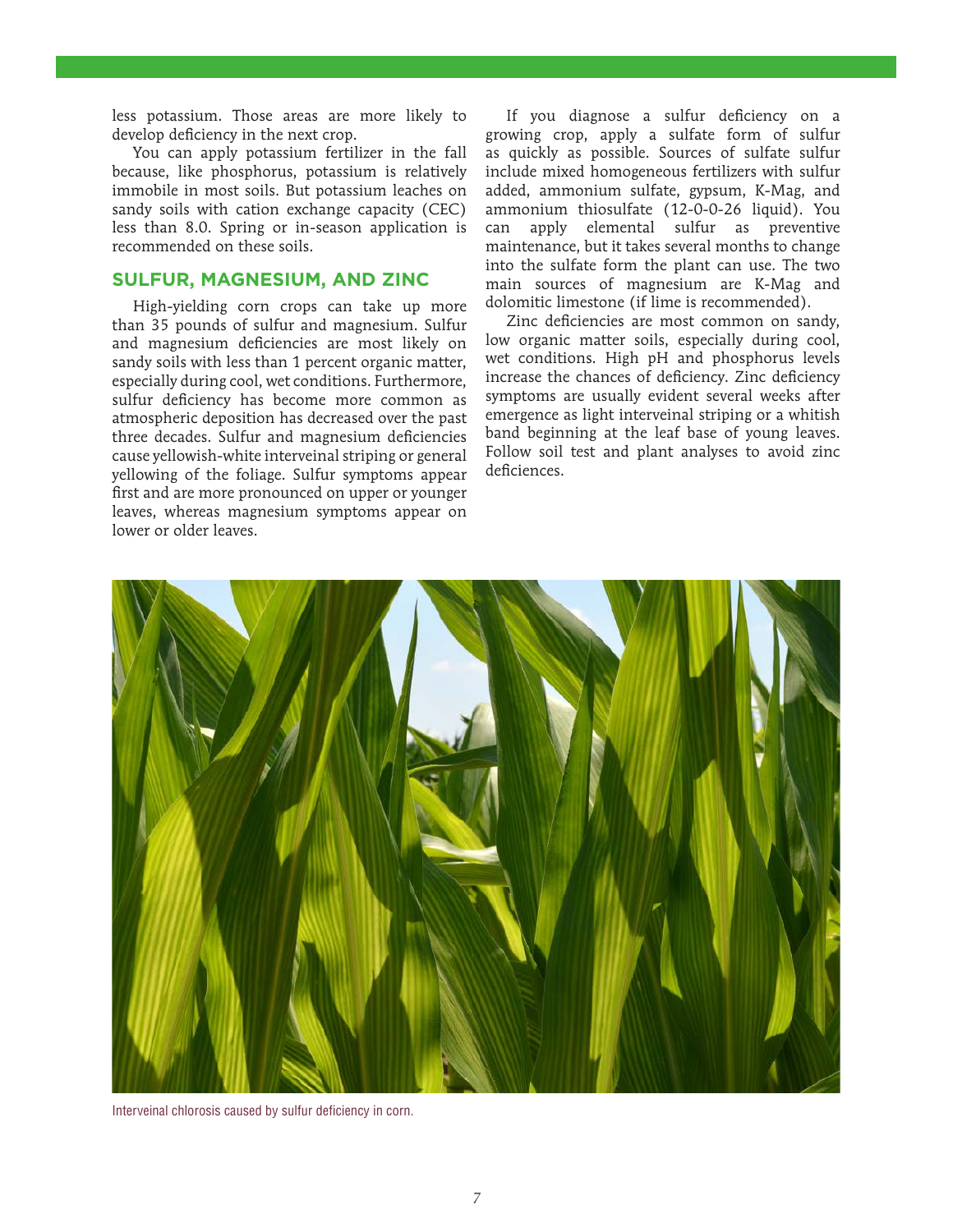less potassium. Those areas are more likely to develop deficiency in the next crop.

You can apply potassium fertilizer in the fall because, like phosphorus, potassium is relatively immobile in most soils. But potassium leaches on sandy soils with cation exchange capacity (CEC) less than 8.0. Spring or in-season application is recommended on these soils.

#### **SULFUR, MAGNESIUM, AND ZINC**

High-yielding corn crops can take up more than 35 pounds of sulfur and magnesium. Sulfur and magnesium deficiencies are most likely on sandy soils with less than 1 percent organic matter, especially during cool, wet conditions. Furthermore, sulfur deficiency has become more common as atmospheric deposition has decreased over the past three decades. Sulfur and magnesium deficiencies cause yellowish-white interveinal striping or general yellowing of the foliage. Sulfur symptoms appear first and are more pronounced on upper or younger leaves, whereas magnesium symptoms appear on lower or older leaves.

If you diagnose a sulfur deficiency on a growing crop, apply a sulfate form of sulfur as quickly as possible. Sources of sulfate sulfur include mixed homogeneous fertilizers with sulfur added, ammonium sulfate, gypsum, K-Mag, and ammonium thiosulfate (12-0-0-26 liquid). You can apply elemental sulfur as preventive maintenance, but it takes several months to change into the sulfate form the plant can use. The two main sources of magnesium are K-Mag and dolomitic limestone (if lime is recommended).

Zinc deficiencies are most common on sandy, low organic matter soils, especially during cool, wet conditions. High pH and phosphorus levels increase the chances of deficiency. Zinc deficiency symptoms are usually evident several weeks after emergence as light interveinal striping or a whitish band beginning at the leaf base of young leaves. Follow soil test and plant analyses to avoid zinc deficiences.



Interveinal chlorosis caused by sulfur deficiency in corn.